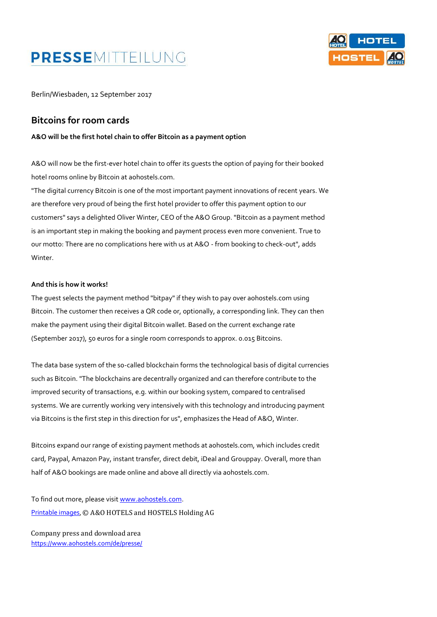# PRESSEMITTEILUNG



Berlin/Wiesbaden, 12 September 2017

#### **Bitcoins for room cards**

**A&O will be the first hotel chain to offer Bitcoin as a payment option**

A&O will now be the first-ever hotel chain to offer its guests the option of paying for their booked hotel rooms online by Bitcoin at aohostels.com.

"The digital currency Bitcoin is one of the most important payment innovations of recent years. We are therefore very proud of being the first hotel provider to offer this payment option to our customers" says a delighted Oliver Winter, CEO of the A&O Group. "Bitcoin as a payment method is an important step in making the booking and payment process even more convenient. True to our motto: There are no complications here with us at A&O - from booking to check-out", adds Winter.

#### **And this is how it works!**

The guest selects the payment method "bitpay" if they wish to pay over aohostels.com using Bitcoin. The customer then receives a QR code or, optionally, a corresponding link. They can then make the payment using their digital Bitcoin wallet. Based on the current exchange rate (September 2017), 50 euros for a single room corresponds to approx. 0.015 Bitcoins.

The data base system of the so-called blockchain forms the technological basis of digital currencies such as Bitcoin. "The blockchains are decentrally organized and can therefore contribute to the improved security of transactions, e.g. within our booking system, compared to centralised systems. We are currently working very intensively with this technology and introducing payment via Bitcoins is the first step in this direction for us", emphasizes the Head of A&O, Winter.

Bitcoins expand our range of existing payment methods at aohostels.com, which includes credit card, Paypal, Amazon Pay, instant transfer, direct debit, iDeal and Grouppay. Overall, more than half of A&O bookings are made online and above all directly via aohostels.com.

To find out more, please visi[t www.aohostels.com.](http://www.aohostels.com/) [Printable images](https://www.dropbox.com/sh/j0buz9p9mflk6t9/AADf5et6_nMfokMIfp75cEXZa?dl=0), © A&O HOTELS and HOSTELS Holding AG

Company press and download area <https://www.aohostels.com/de/presse/>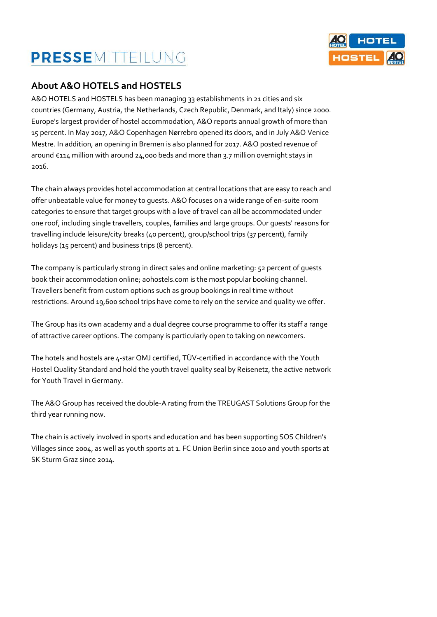## PRESSEMITTEILUNG



#### **About A&O HOTELS and HOSTELS**

A&O HOTELS and HOSTELS has been managing 33 establishments in 21 cities and six countries (Germany, Austria, the Netherlands, Czech Republic, Denmark, and Italy) since 2000. Europe's largest provider of hostel accommodation, A&O reports annual growth of more than 15 percent. In May 2017, A&O Copenhagen Nørrebro opened its doors, and in July A&O Venice Mestre. In addition, an opening in Bremen is also planned for 2017. A&O posted revenue of around €114 million with around 24,000 beds and more than 3.7 million overnight stays in 2016.

The chain always provides hotel accommodation at central locations that are easy to reach and offer unbeatable value for money to guests. A&O focuses on a wide range of en-suite room categories to ensure that target groups with a love of travel can all be accommodated under one roof, including single travellers, couples, families and large groups. Our guests' reasons for travelling include leisure/city breaks (40 percent), group/school trips (37 percent), family holidays (15 percent) and business trips (8 percent).

The company is particularly strong in direct sales and online marketing: 52 percent of guests book their accommodation online; aohostels.com is the most popular booking channel. Travellers benefit from custom options such as group bookings in real time without restrictions. Around 19,600 school trips have come to rely on the service and quality we offer.

The Group has its own academy and a dual degree course programme to offer its staff a range of attractive career options. The company is particularly open to taking on newcomers.

The hotels and hostels are 4-star QMJ certified, TÜV-certified in accordance with the Youth Hostel Quality Standard and hold the youth travel quality seal by Reisenetz, the active network for Youth Travel in Germany.

The A&O Group has received the double-A rating from the TREUGAST Solutions Group for the third year running now.

The chain is actively involved in sports and education and has been supporting SOS Children's Villages since 2004, as well as youth sports at 1. FC Union Berlin since 2010 and youth sports at SK Sturm Graz since 2014.